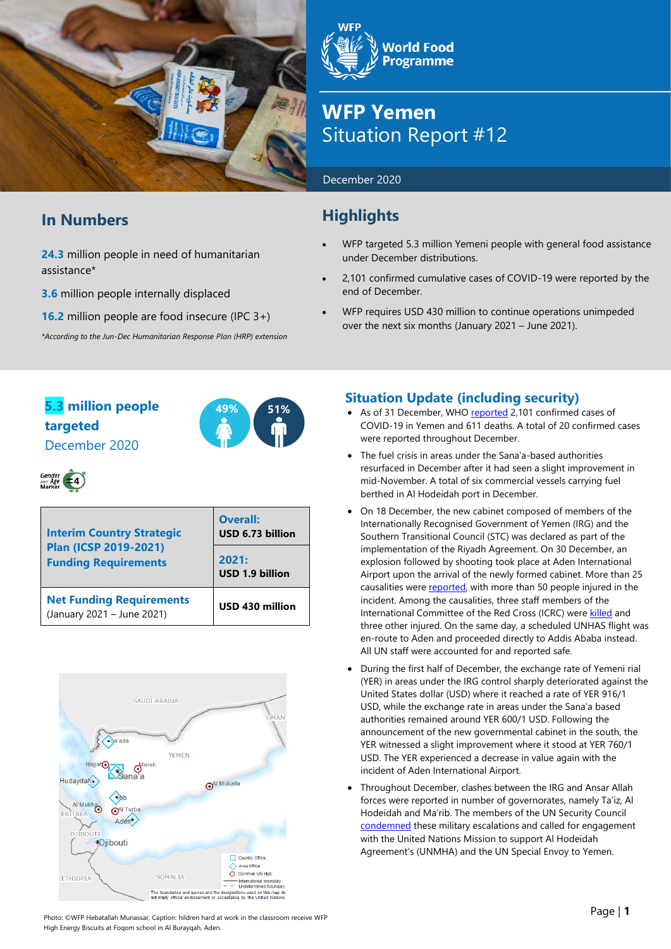

## **In Numbers**

**24.3** million people in need of humanitarian assistance\*

**3.6** million people internally displaced

**16.2** million people are food insecure (IPC 3+)

*\*According to the Jun-Dec Humanitarian Response Plan (HRP) extension*

**World Food Programme** 

## **WFP Yemen** Situation Report #12

December 2020

## **Highlights**

- WFP targeted 5.3 million Yemeni people with general food assistance under December distributions.
- 2,101 confirmed cumulative cases of COVID-19 were reported by the end of December.
- WFP requires USD 430 million to continue operations unimpeded over the next six months (January 2021 – June 2021).

## **5.3 million people 49% 51% targeted** December 2020





| <b>Interim Country Strategic</b><br>Plan (ICSP 2019-2021)<br><b>Funding Requirements</b> | <b>Overall:</b><br>USD 6.73 billion |  |  |
|------------------------------------------------------------------------------------------|-------------------------------------|--|--|
|                                                                                          | 2021:<br>USD 1.9 billion            |  |  |
| <b>Net Funding Requirements</b><br>(January 2021 - June 2021)                            | USD 430 million                     |  |  |



## **Situation Update (including security)**

- As of 31 December, WHO [reported](https://app.powerbi.com/view?r=eyJrIjoiZjE2NzJjZDItNDgyZi00NDFkLWFlMjItNjA2MjIwMWYzODJkIiwidCI6ImY2MTBjMGI3LWJkMjQtNGIzOS04MTBiLTNkYzI4MGFmYjU5MCIsImMiOjh9) 2,101 confirmed cases of COVID-19 in Yemen and 611 deaths. A total of 20 confirmed cases were reported throughout December.
- The fuel crisis in areas under the Sana'a-based authorities resurfaced in December after it had seen a slight improvement in mid-November. A total of six commercial vessels carrying fuel berthed in Al Hodeidah port in December.
- On 18 December, the new cabinet composed of members of the Internationally Recognised Government of Yemen (IRG) and the Southern Transitional Council (STC) was declared as part of the implementation of the Riyadh Agreement. On 30 December, an explosion followed by shooting took place at Aden International Airport upon the arrival of the newly formed cabinet. More than 25 causalities wer[e reported,](https://www.bbc.com/news/world-middle-east-55484436) with more than 50 people injured in the incident. Among the causalities, three staff members of the International Committee of the Red Cross (ICRC) wer[e killed](https://www.icrc.org/en/document/yemen-2-icrc-staff-members-killed-1-unaccounted-after-airport-blast) and three other injured. On the same day, a scheduled UNHAS flight was en-route to Aden and proceeded directly to Addis Ababa instead. All UN staff were accounted for and reported safe.
- During the first half of December, the exchange rate of Yemeni rial (YER) in areas under the IRG control sharply deteriorated against the United States dollar (USD) where it reached a rate of YER 916/1 USD, while the exchange rate in areas under the Sana'a based authorities remained around YER 600/1 USD. Following the announcement of the new governmental cabinet in the south, the YER witnessed a slight improvement where it stood at YER 760/1 USD. The YER experienced a decrease in value again with the incident of Aden International Airport.
- Throughout December, clashes between the IRG and Ansar Allah forces were reported in number of governorates, namely Ta'iz, Al Hodeidah and Ma'rib. The members of the UN Security Council [condemned](https://osesgy.unmissions.org/security-council-press-statement-yemen-2) these military escalations and called for engagement with the United Nations Mission to support Al Hodeidah Agreement's (UNMHA) and the UN Special Envoy to Yemen.

Photo: ©WFP Hebatallah Munassar, Caption: hildren hard at work in the classroom receive WFP High Energy Biscuits at Foqom school in Al Burayqah, Aden.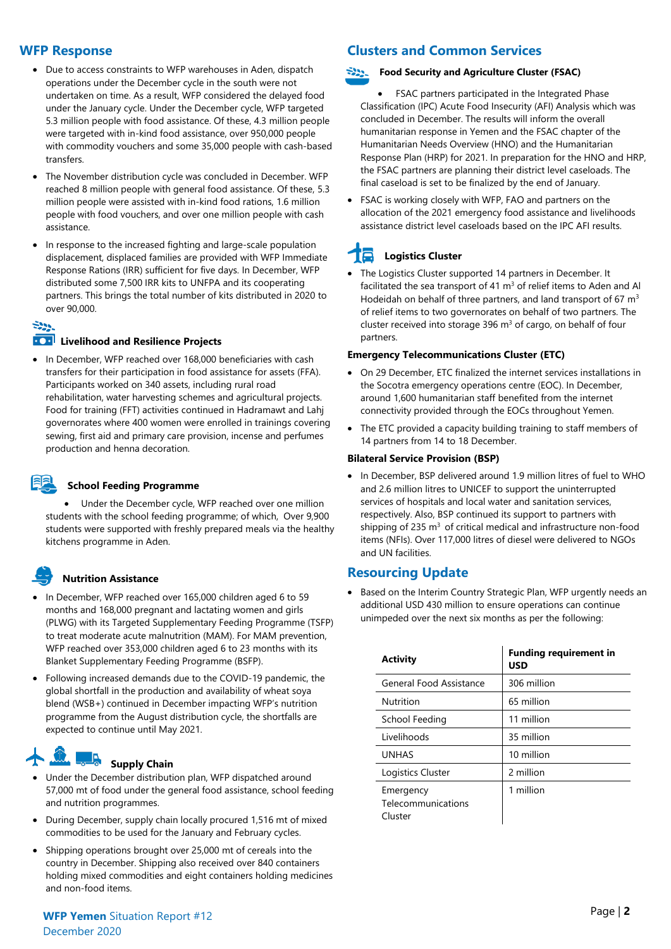#### **WFP Response**

- Due to access constraints to WFP warehouses in Aden, dispatch operations under the December cycle in the south were not undertaken on time. As a result, WFP considered the delayed food under the January cycle. Under the December cycle, WFP targeted 5.3 million people with food assistance. Of these, 4.3 million people were targeted with in-kind food assistance, over 950,000 people with commodity vouchers and some 35,000 people with cash-based transfers.
- The November distribution cycle was concluded in December. WFP reached 8 million people with general food assistance. Of these, 5.3 million people were assisted with in-kind food rations, 1.6 million people with food vouchers, and over one million people with cash assistance.
- In response to the increased fighting and large-scale population displacement, displaced families are provided with WFP Immediate Response Rations (IRR) sufficient for five days. In December, WFP distributed some 7,500 IRR kits to UNFPA and its cooperating partners. This brings the total number of kits distributed in 2020 to over 90,000.

#### $-299$

#### **EXPLO Livelihood and Resilience Projects**

• In December, WFP reached over 168,000 beneficiaries with cash transfers for their participation in food assistance for assets (FFA). Participants worked on 340 assets, including rural road rehabilitation, water harvesting schemes and agricultural projects. Food for training (FFT) activities continued in Hadramawt and Lahj governorates where 400 women were enrolled in trainings covering sewing, first aid and primary care provision, incense and perfumes production and henna decoration.

#### **School Feeding Programme**

• Under the December cycle, WFP reached over one million students with the school feeding programme; of which, Over 9,900 students were supported with freshly prepared meals via the healthy kitchens programme in Aden.

#### **Nutrition Assistance**

- In December, WFP reached over 165,000 children aged 6 to 59 months and 168,000 pregnant and lactating women and girls (PLWG) with its Targeted Supplementary Feeding Programme (TSFP) to treat moderate acute malnutrition (MAM). For MAM prevention, WFP reached over 353,000 children aged 6 to 23 months with its Blanket Supplementary Feeding Programme (BSFP).
- Following increased demands due to the COVID-19 pandemic, the global shortfall in the production and availability of wheat soya blend (WSB+) continued in December impacting WFP's nutrition programme from the August distribution cycle, the shortfalls are expected to continue until May 2021.

# **Supply Chain**

- Under the December distribution plan, WFP dispatched around 57,000 mt of food under the general food assistance, school feeding and nutrition programmes.
- During December, supply chain locally procured 1,516 mt of mixed commodities to be used for the January and February cycles.
- Shipping operations brought over 25,000 mt of cereals into the country in December. Shipping also received over 840 containers holding mixed commodities and eight containers holding medicines and non-food items.

### **Clusters and Common Services**

#### -222. **Food Security and Agriculture Cluster (FSAC)**

- FSAC partners participated in the Integrated Phase Classification (IPC) Acute Food Insecurity (AFI) Analysis which was concluded in December. The results will inform the overall humanitarian response in Yemen and the FSAC chapter of the Humanitarian Needs Overview (HNO) and the Humanitarian Response Plan (HRP) for 2021. In preparation for the HNO and HRP, the FSAC partners are planning their district level caseloads. The final caseload is set to be finalized by the end of January.
- FSAC is working closely with WFP, FAO and partners on the allocation of the 2021 emergency food assistance and livelihoods assistance district level caseloads based on the IPC AFI results.

## **Logistics Cluster**

• The Logistics Cluster supported 14 partners in December. It facilitated the sea transport of 41  $m<sup>3</sup>$  of relief items to Aden and Al Hodeidah on behalf of three partners, and land transport of 67 m<sup>3</sup> of relief items to two governorates on behalf of two partners. The cluster received into storage 396  $m<sup>3</sup>$  of cargo, on behalf of four partners.

#### **Emergency Telecommunications Cluster (ETC)**

- On 29 December, ETC finalized the internet services installations in the Socotra emergency operations centre (EOC). In December, around 1,600 humanitarian staff benefited from the internet connectivity provided through the EOCs throughout Yemen.
- The ETC provided a capacity building training to staff members of 14 partners from 14 to 18 December.

#### **Bilateral Service Provision (BSP)**

• In December, BSP delivered around 1.9 million litres of fuel to WHO and 2.6 million litres to UNICEF to support the uninterrupted services of hospitals and local water and sanitation services, respectively. Also, BSP continued its support to partners with shipping of 235  $\mathrm{m}^3$  of critical medical and infrastructure non-food items (NFIs). Over 117,000 litres of diesel were delivered to NGOs and UN facilities.

#### **Resourcing Update**

Based on the Interim Country Strategic Plan, WFP urgently needs an additional USD 430 million to ensure operations can continue unimpeded over the next six months as per the following:

| <b>Activity</b>                            | <b>Funding requirement in</b><br><b>USD</b> |  |  |
|--------------------------------------------|---------------------------------------------|--|--|
| General Food Assistance                    | 306 million                                 |  |  |
| Nutrition                                  | 65 million                                  |  |  |
| School Feeding                             | 11 million                                  |  |  |
| Livelihoods                                | 35 million                                  |  |  |
| <b>UNHAS</b>                               | 10 million                                  |  |  |
| Logistics Cluster                          | 2 million                                   |  |  |
| Emergency<br>Telecommunications<br>Cluster | 1 million                                   |  |  |